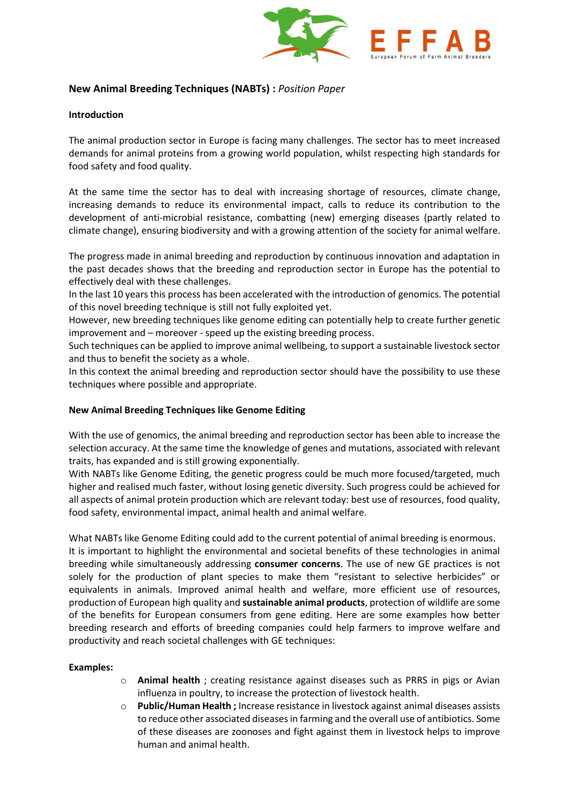

# **New Animal Breeding Techniques (NABTs) :** *Position Paper*

## **Introduction**

The animal production sector in Europe is facing many challenges. The sector has to meet increased demands for animal proteins from a growing world population, whilst respecting high standards for food safety and food quality.

At the same time the sector has to deal with increasing shortage of resources, climate change, increasing demands to reduce its environmental impact, calls to reduce its contribution to the development of anti-microbial resistance, combatting (new) emerging diseases (partly related to climate change), ensuring biodiversity and with a growing attention of the society for animal welfare.

The progress made in animal breeding and reproduction by continuous innovation and adaptation in the past decades shows that the breeding and reproduction sector in Europe has the potential to effectively deal with these challenges.

In the last 10 years this process has been accelerated with the introduction of genomics. The potential of this novel breeding technique is still not fully exploited yet.

However, new breeding techniques like genome editing can potentially help to create further genetic improvement and – moreover - speed up the existing breeding process.

Such techniques can be applied to improve animal wellbeing, to support a sustainable livestock sector and thus to benefit the society as a whole.

In this context the animal breeding and reproduction sector should have the possibility to use these techniques where possible and appropriate.

### **New Animal Breeding Techniques like Genome Editing**

With the use of genomics, the animal breeding and reproduction sector has been able to increase the selection accuracy. At the same time the knowledge of genes and mutations, associated with relevant traits, has expanded and is still growing exponentially.

With NABTs like Genome Editing, the genetic progress could be much more focused/targeted, much higher and realised much faster, without losing genetic diversity. Such progress could be achieved for all aspects of animal protein production which are relevant today: best use of resources, food quality, food safety, environmental impact, animal health and animal welfare.

What NABTs like Genome Editing could add to the current potential of animal breeding is enormous. It is important to highlight the environmental and societal benefits of these technologies in animal breeding while simultaneously addressing **consumer concerns**. The use of new GE practices is not solely for the production of plant species to make them "resistant to selective herbicides" or equivalents in animals. Improved animal health and welfare, more efficient use of resources, production of European high quality and **sustainable animal products**, protection of wildlife are some of the benefits for European consumers from gene editing. Here are some examples how better breeding research and efforts of breeding companies could help farmers to improve welfare and productivity and reach societal challenges with GE techniques:

### **Examples:**

- o **Animal health** ; creating resistance against diseases such as PRRS in pigs or Avian influenza in poultry, to increase the protection of livestock health.
- o **Public/Human Health ;** Increase resistance in livestock against animal diseases assists to reduce other associated diseases in farming and the overall use of antibiotics. Some of these diseases are zoonoses and fight against them in livestock helps to improve human and animal health.